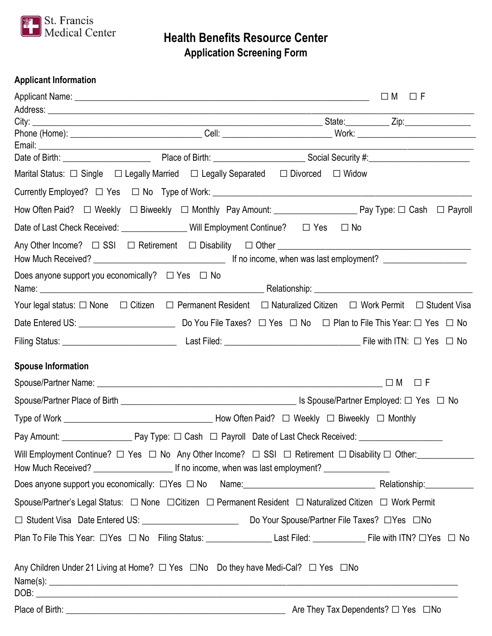

**Health Benefits Resource Center Application Screening Form**

## **Applicant Information**

|                                                            |                                                                                                                                           | □M □F |
|------------------------------------------------------------|-------------------------------------------------------------------------------------------------------------------------------------------|-------|
|                                                            |                                                                                                                                           |       |
|                                                            |                                                                                                                                           |       |
|                                                            |                                                                                                                                           |       |
|                                                            |                                                                                                                                           |       |
|                                                            | Marital Status: $\Box$ Single $\Box$ Legally Married $\Box$ Legally Separated $\Box$ Divorced $\Box$ Widow                                |       |
|                                                            |                                                                                                                                           |       |
|                                                            |                                                                                                                                           |       |
|                                                            | Date of Last Check Received: ________________ Will Employment Continue? □ Yes □ No                                                        |       |
|                                                            |                                                                                                                                           |       |
| Does anyone support you economically? $\Box$ Yes $\Box$ No |                                                                                                                                           |       |
|                                                            | Your legal status: $\Box$ None $\Box$ Citizen $\Box$ Permanent Resident $\Box$ Naturalized Citizen $\Box$ Work Permit $\Box$ Student Visa |       |
|                                                            |                                                                                                                                           |       |
|                                                            |                                                                                                                                           |       |
| <b>Spouse Information</b>                                  |                                                                                                                                           |       |
|                                                            |                                                                                                                                           |       |
|                                                            |                                                                                                                                           |       |
|                                                            |                                                                                                                                           |       |
|                                                            |                                                                                                                                           |       |
|                                                            | Will Employment Continue? $\Box$ Yes $\Box$ No Any Other Income? $\Box$ SSI $\Box$ Retirement $\Box$ Disability $\Box$ Other:             |       |
|                                                            |                                                                                                                                           |       |
|                                                            | Spouse/Partner's Legal Status:   □ None   □ Citizen  □ Permanent Resident  □ Naturalized Citizen □ Work Permit                            |       |
|                                                            |                                                                                                                                           |       |
|                                                            | Plan To File This Year: □ Yes □ No Filing Status: _______________________Last Filed: _____________________ File with ITN? □ Yes □ No      |       |
|                                                            | Any Children Under 21 Living at Home? □ Yes □ No Do they have Medi-Cal? □ Yes □ No                                                        |       |
|                                                            |                                                                                                                                           |       |